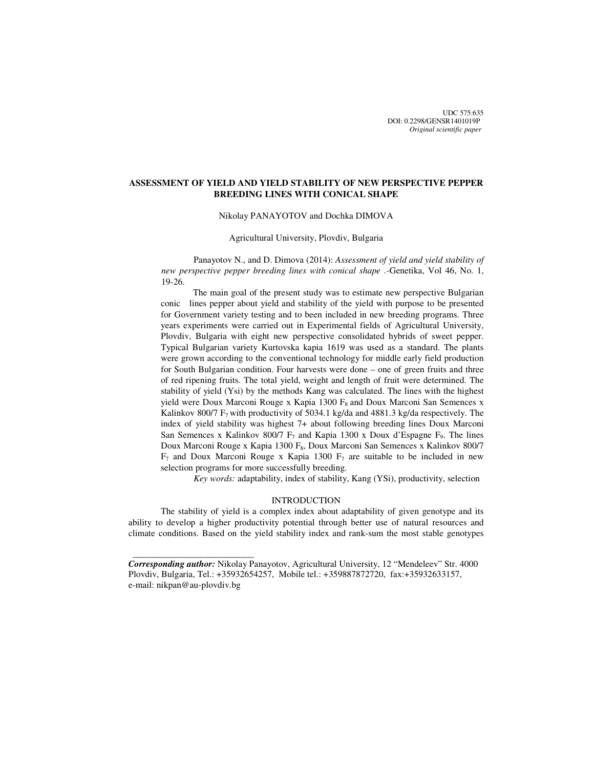UDC 575:635 DOI: 0.2298/GENSR1401019P *Original scientific paper*

# **ASSESSMENT OF YIELD AND YIELD STABILITY OF NEW PERSPECTIVE PEPPER BREEDING LINES WITH CONICAL SHAPE**

# Nikolay PANAYOTOV and Dochka DIMOVA

### Agricultural University, Plovdiv, Bulgaria

Panayotov N., and D. Dimova (2014): *Assessment of yield and yield stability of new perspective pepper breeding lines with conical shape .-*Genetika, Vol 46, No. 1, 19-26.

The main goal of the present study was to estimate new perspective Bulgarian conic lines pepper about yield and stability of the yield with purpose to be presented for Government variety testing and to been included in new breeding programs. Three years experiments were carried out in Experimental fields of Agricultural University, Plovdiv, Bulgaria with eight new perspective consolidated hybrids of sweet pepper. Typical Bulgarian variety Kurtovska kapia 1619 was used as a standard. The plants were grown according to the conventional technology for middle early field production for South Bulgarian condition. Four harvests were done – one of green fruits and three of red ripening fruits. The total yield, weight and length of fruit were determined. The stability of yield (Ysi) by the methods Kang was calculated. The lines with the highest yield were Doux Marconi Rouge x Kapia 1300  $F_8$  and Doux Marconi San Semences x Kalinkov 800/7  $F_7$  with productivity of 5034.1 kg/da and 4881.3 kg/da respectively. The index of yield stability was highest 7+ about following breeding lines Doux Marconi San Semences x Kalinkov 800/7  $F_7$  and Kapia 1300 x Doux d'Espagne  $F_9$ . The lines Doux Marconi Rouge x Kapia 1300 F<sub>8</sub>, Doux Marconi San Semences x Kalinkov 800/7  $F_7$  and Doux Marconi Rouge x Kapia 1300  $F_7$  are suitable to be included in new selection programs for more successfully breeding.

*Key words:* adaptability, index of stability, Kang (YSi), productivity, selection

## INTRODUCTION

The stability of yield is a complex index about adaptability of given genotype and its ability to develop a higher productivity potential through better use of natural resources and climate conditions. Based on the yield stability index and rank-sum the most stable genotypes

 $\frac{1}{2}$  , and the set of the set of the set of the set of the set of the set of the set of the set of the set of the set of the set of the set of the set of the set of the set of the set of the set of the set of the set

*Corresponding author:* Nikolay Panayotov, Agricultural University, 12 "Mendeleev" Str. 4000 Plovdiv, Bulgaria, Tel.: +35932654257, Mobile tel.: +359887872720, fax:+35932633157, e-mail: nikpan@au-plovdiv.bg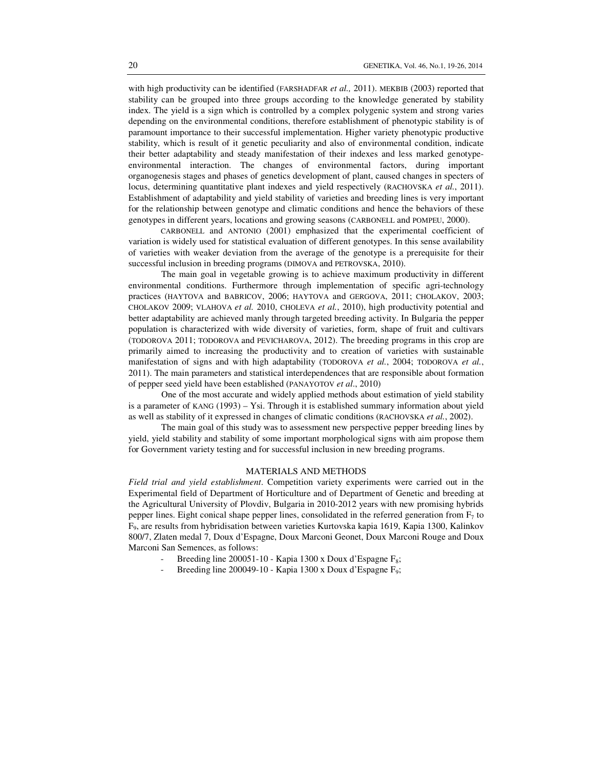with high productivity can be identified (FARSHADFAR *et al.*, 2011). MEKBIB (2003) reported that stability can be grouped into three groups according to the knowledge generated by stability index. The yield is a sign which is controlled by a complex polygenic system and strong varies depending on the environmental conditions, therefore establishment of phenotypic stability is of paramount importance to their successful implementation. Higher variety phenotypic productive stability, which is result of it genetic peculiarity and also of environmental condition, indicate their better adaptability and steady manifestation of their indexes and less marked genotypeenvironmental interaction. The changes of environmental factors, during important organogenesis stages and phases of genetics development of plant, caused changes in specters of locus, determining quantitative plant indexes and yield respectively (RACHOVSKA *et al.*, 2011). Establishment of adaptability and yield stability of varieties and breeding lines is very important for the relationship between genotype and climatic conditions and hence the behaviors of these genotypes in different years, locations and growing seasons (CARBONELL and POMPEU, 2000).

CARBONELL and ANTONIO (2001) emphasized that the experimental coefficient of variation is widely used for statistical evaluation of different genotypes. In this sense availability of varieties with weaker deviation from the average of the genotype is a prerequisite for their successful inclusion in breeding programs (DIMOVA and PETROVSKA, 2010).

 The main goal in vegetable growing is to achieve maximum productivity in different environmental conditions. Furthermore through implementation of specific agri-technology practices (HAYTOVA and BABRICOV, 2006; HAYTOVA and GERGOVA, 2011; CHOLAKOV, 2003; CHOLAKOV 2009; VLAHOVA *et al.* 2010, CHOLEVA *et al.*, 2010), high productivity potential and better adaptability are achieved manly through targeted breeding activity. In Bulgaria the pepper population is characterized with wide diversity of varieties, form, shape of fruit and cultivars (TODOROVA 2011; TODOROVA and PEVICHAROVA, 2012). The breeding programs in this crop are primarily aimed to increasing the productivity and to creation of varieties with sustainable manifestation of signs and with high adaptability (TODOROVA *et al.*, 2004; TODOROVA *et al.*, 2011). The main parameters and statistical interdependences that are responsible about formation of pepper seed yield have been established (PANAYOTOV *et al*., 2010)

 One of the most accurate and widely applied methods about estimation of yield stability is a parameter of KANG (1993) – Ysi. Through it is established summary information about yield as well as stability of it expressed in changes of climatic conditions (RACHOVSKA *et al.*, 2002).

 The main goal of this study was to assessment new perspective pepper breeding lines by yield, yield stability and stability of some important morphological signs with aim propose them for Government variety testing and for successful inclusion in new breeding programs.

# MATERIALS AND METHODS

*Field trial and yield establishment*. Competition variety experiments were carried out in the Experimental field of Department of Horticulture and of Department of Genetic and breeding at the Agricultural University of Plovdiv, Bulgaria in 2010-2012 years with new promising hybrids pepper lines. Eight conical shape pepper lines, consolidated in the referred generation from  $F_7$  to F9, are results from hybridisation between varieties Kurtovska kapia 1619, Kapia 1300, Kalinkov 800/7, Zlaten medal 7, Doux d'Espagne, Doux Marconi Geonet, Doux Marconi Rouge and Doux Marconi San Semences, as follows:

- Breeding line 200051-10 Kapia 1300 x Doux d'Espagne  $F_8$ ;
- Breeding line 200049-10 Kapia 1300 x Doux d'Espagne F<sub>9</sub>;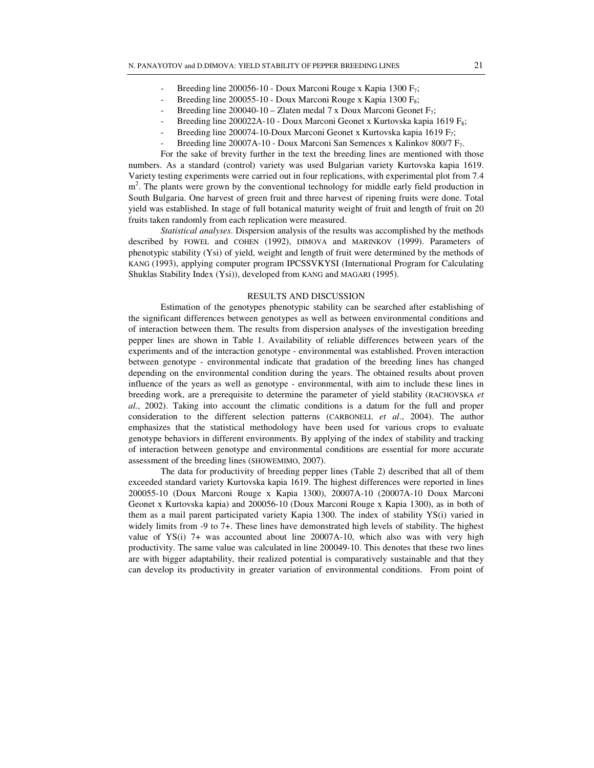- Breeding line 200056-10 Doux Marconi Rouge x Kapia 1300  $F_7$ ;
- Breeding line 200055-10 Doux Marconi Rouge x Kapia 1300  $F_8$ ;
- Breeding line 200040-10 Zlaten medal 7 x Doux Marconi Geonet  $F_7$ ;
- Breeding line 200022A-10 Doux Marconi Geonet x Kurtovska kapia 1619  $F_8$ ;
- Breeding line 200074-10-Doux Marconi Geonet x Kurtovska kapia 1619 F<sub>7</sub>;
- Breeding line 20007А-10 Doux Marconi San Semences х Kalinkov 800/7 F<sub>7</sub>.

For the sake of brevity further in the text the breeding lines are mentioned with those numbers. As a standard (control) variety was used Bulgarian variety Kurtovska kapia 1619. Variety testing experiments were carried out in four replications, with experimental plot from 7.4 m<sup>2</sup>. The plants were grown by the conventional technology for middle early field production in South Bulgaria. One harvest of green fruit and three harvest of ripening fruits were done. Total yield was established. In stage of full botanical maturity weight of fruit and length of fruit on 20 fruits taken randomly from each replication were measured.

*Statistical analyses*. Dispersion analysis of the results was accomplished by the methods described by FOWEL and COHEN (1992), DIMOVA and MARINKOV (1999). Parameters of phenotypic stability (Ysi) of yield, weight and length of fruit were determined by the methods of KANG (1993), applying computer program IPCSSVKYSI (International Program for Calculating Shuklas Stability Index (Ysi)), developed from KANG and MAGARI (1995).

### RESULTS AND DISCUSSION

Estimation of the genotypes phenotypic stability can be searched after establishing of the significant differences between genotypes as well as between environmental conditions and of interaction between them. The results from dispersion analyses of the investigation breeding pepper lines are shown in Table 1. Availability of reliable differences between years of the experiments and of the interaction genotype - environmental was established. Proven interaction between genotype - environmental indicate that gradation of the breeding lines has changed depending on the environmental condition during the years. The obtained results about proven influence of the years as well as genotype - environmental, with aim to include these lines in breeding work, are a prerequisite to determine the parameter of yield stability (RACHOVSKA *et al.*, 2002). Taking into account the climatic conditions is a datum for the full and proper consideration to the different selection patterns (CARBONELL *et al*., 2004). The author emphasizes that the statistical methodology have been used for various crops to evaluate genotype behaviors in different environments. By applying of the index of stability and tracking of interaction between genotype and environmental conditions are essential for more accurate assessment of the breeding lines (SHOWEMIMO, 2007).

The data for productivity of breeding pepper lines (Table 2) described that all of them exceeded standard variety Kurtovska kapia 1619. The highest differences were reported in lines 200055-10 (Doux Marconi Rouge х Kapia 1300), 20007A-10 (20007A-10 Doux Marconi Geonet х Kurtovska kapia) and 200056-10 (Doux Marconi Rouge х Kapia 1300), as in both of them as a mail parent participated variety Kapia 1300. The index of stability YS(i) varied in widely limits from -9 to 7+. These lines have demonstrated high levels of stability. The highest value of YS(i) 7+ was accounted about line 20007A-10, which also was with very high productivity. The same value was calculated in line 200049-10. This denotes that these two lines are with bigger adaptability, their realized potential is comparatively sustainable and that they can develop its productivity in greater variation of environmental conditions. From point of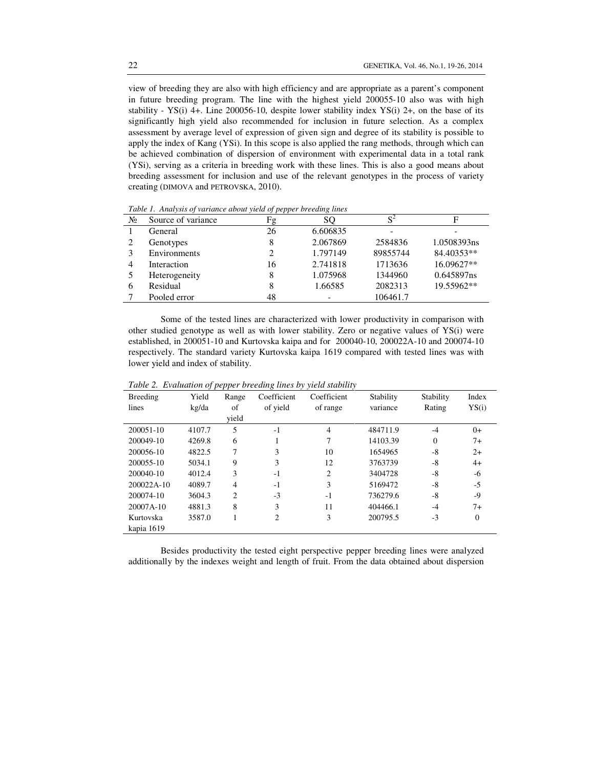view of breeding they are also with high efficiency and are appropriate as a parent's component in future breeding program. The line with the highest yield 200055-10 also was with high stability - YS(i) 4+. Line 200056-10, despite lower stability index YS(i) 2+, on the base of its significantly high yield also recommended for inclusion in future selection. As a complex assessment by average level of expression of given sign and degree of its stability is possible to apply the index of Kang (YSi). In this scope is also applied the rang methods, through which can be achieved combination of dispersion of environment with experimental data in a total rank (YSi), serving as a criteria in breeding work with these lines. This is also a good means about breeding assessment for inclusion and use of the relevant genotypes in the process of variety creating (DIMOVA and PETROVSKA, 2010).

| Twore It Thrace for a function and an architecture of people. All country reflects |                    |    |          |          |             |  |  |  |
|------------------------------------------------------------------------------------|--------------------|----|----------|----------|-------------|--|--|--|
| N <sub>2</sub>                                                                     | Source of variance | Fg | SΟ       | $S^2$    | F           |  |  |  |
|                                                                                    | General            | 26 | 6.606835 |          |             |  |  |  |
|                                                                                    | Genotypes          | 8  | 2.067869 | 2584836  | 1.0508393ns |  |  |  |
|                                                                                    | Environments       | 2  | 1.797149 | 89855744 | 84.40353**  |  |  |  |
| 4                                                                                  | Interaction        | 16 | 2.741818 | 1713636  | 16.09627**  |  |  |  |
|                                                                                    | Heterogeneity      | 8  | 1.075968 | 1344960  | 0.645897ns  |  |  |  |
| 6                                                                                  | Residual           | 8  | 1.66585  | 2082313  | 19.55962**  |  |  |  |
|                                                                                    | Pooled error       | 48 |          | 106461.7 |             |  |  |  |

*Table 1. Analysis of variance about yield of pepper breeding lines* 

Some of the tested lines are characterized with lower productivity in comparison with other studied genotype as well as with lower stability. Zero or negative values of YS(i) were established, in 200051-10 and Kurtovska kaipa and for 200040-10, 200022А-10 and 200074-10 respectively. The standard variety Kurtovska kaipa 1619 compared with tested lines was with lower yield and index of stability.

| Breeding     | Yield  | Range          | Coefficient    | Coefficient | Stability | Stability      | Index    |
|--------------|--------|----------------|----------------|-------------|-----------|----------------|----------|
| lines        | kg/da  | of             | of yield       | of range    | variance  | Rating         | YS(i)    |
|              |        | vield          |                |             |           |                |          |
| 200051-10    | 4107.7 | 5              | $-1$           | 4           | 484711.9  | $-4$           | $() +$   |
| 200049-10    | 4269.8 | 6              | 1              | 7           | 14103.39  | $\overline{0}$ | $7+$     |
| 200056-10    | 4822.5 | 7              | 3              | 10          | 1654965   | $-8$           | $2+$     |
| 200055-10    | 5034.1 | 9              | 3              | 12          | 3763739   | -8             | $4+$     |
| 200040-10    | 4012.4 | 3              | $-1$           | 2           | 3404728   | $-8$           | -6       |
| $200022A-10$ | 4089.7 | $\overline{4}$ | $-1$           | 3           | 5169472   | $-8$           | $-5$     |
| 200074-10    | 3604.3 | 2              | $-3$           | $-1$        | 736279.6  | $-8$           | -9       |
| 20007A-10    | 4881.3 | 8              | 3              | 11          | 404466.1  | $-4$           | $7+$     |
| Kurtovska    | 3587.0 |                | $\overline{2}$ | 3           | 200795.5  | $-3$           | $\Omega$ |
| kapia 1619   |        |                |                |             |           |                |          |

*Table 2. Evaluation of pepper breeding lines by yield stability* 

Besides productivity the tested eight perspective pepper breeding lines were analyzed additionally by the indexes weight and length of fruit. From the data obtained about dispersion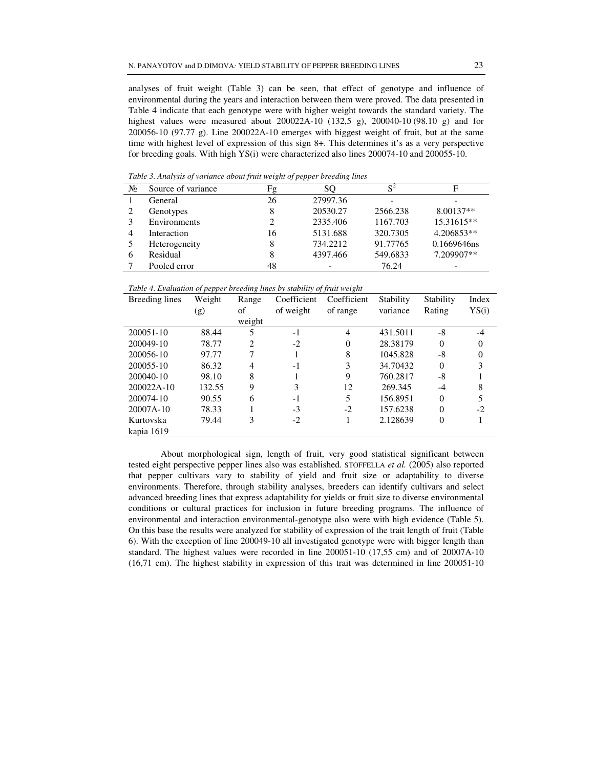analyses of fruit weight (Table 3) can be seen, that effect of genotype and influence of environmental during the years and interaction between them were proved. The data presented in Table 4 indicate that each genotype were with higher weight towards the standard variety. The highest values were measured about 200022А-10 (132,5 g), 200040-10 (98.10 g) and for 200056-10 (97.77 g). Line 200022А-10 emerges with biggest weight of fruit, but at the same time with highest level of expression of this sign 8+. This determines it's as a very perspective for breeding goals. With high YS(i) were characterized also lines 200074-10 and 200055-10.

 $N_2$  Source of variance Fg SQ S<sup>2</sup> **Figure 1** 1 General 26 27997.36 - -2 Genotypes 8 8 20530.27 2566.238 8.00137<sup>\*\*</sup> 3 Environments 2 2335.406 1167.703 15.31615\*\* 4 Interaction 16 5131.688 320.7305 4.206853\*\* 5 Heterogeneity 8 734.2212 91.77765 0.1669646ns 6 Residual 8 4397.466 549.6833 7.209907\*\* 7 Pooled error 48 - 76.24

*Table 3. Analysis of variance about fruit weight of pepper breeding lines*

*Table 4. Evaluation of pepper breeding lines by stability of fruit weight* 

| Breeding lines | Weight | Range          | Coefficient | Coefficient | Stability | Stability      | Index    |
|----------------|--------|----------------|-------------|-------------|-----------|----------------|----------|
|                | (g)    | of             | of weight   | of range    | variance  | Rating         | YS(i)    |
|                |        | weight         |             |             |           |                |          |
| 200051-10      | 88.44  | 5              | $-1$        | 4           | 431.5011  | -8             | -4       |
| 200049-10      | 78.77  | $\overline{2}$ | $-2$        | $\Omega$    | 28.38179  | $\overline{0}$ | $\theta$ |
| 200056-10      | 97.77  |                |             | 8           | 1045.828  | -8             | $\theta$ |
| 200055-10      | 86.32  | 4              | $-1$        | 3           | 34.70432  | $\Omega$       | 3        |
| 200040-10      | 98.10  | 8              |             | 9           | 760.2817  | -8             |          |
| $200022A-10$   | 132.55 | 9              | 3           | 12          | 269.345   | $-4$           | 8        |
| 200074-10      | 90.55  | 6              | $-1$        | 5           | 156.8951  | $\Omega$       | 5        |
| $20007A-10$    | 78.33  |                | $-3$        | $-2$        | 157.6238  | $\Omega$       | $-2$     |
| Kurtovska      | 79.44  | 3              | $-2$        |             | 2.128639  | $\theta$       |          |
| kapia 1619     |        |                |             |             |           |                |          |

About morphological sign, length of fruit, very good statistical significant between tested eight perspective pepper lines also was established. STOFFELLA *et al.* (2005) also reported that pepper cultivars vary to stability of yield and fruit size or adaptability to diverse environments. Therefore, through stability analyses, breeders can identify cultivars and select advanced breeding lines that express adaptability for yields or fruit size to diverse environmental conditions or cultural practices for inclusion in future breeding programs. The influence of environmental and interaction environmental-genotype also were with high evidence (Table 5). On this base the results were analyzed for stability of expression of the trait length of fruit (Table 6). With the exception of line 200049-10 all investigated genotype were with bigger length than standard. The highest values were recorded in line 200051-10 (17,55 cm) and of 20007A-10 (16,71 cm). The highest stability in expression of this trait was determined in line 200051-10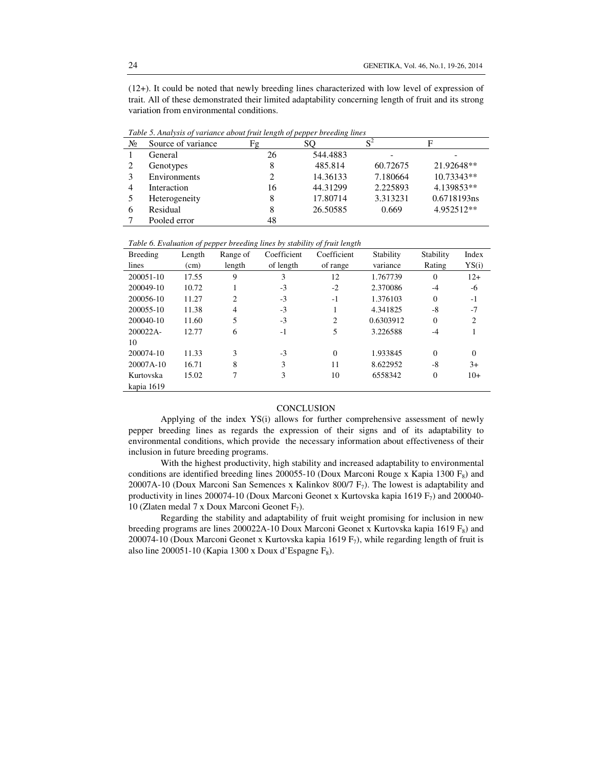(12+). It could be noted that newly breeding lines characterized with low level of expression of trait. All of these demonstrated their limited adaptability concerning length of fruit and its strong variation from environmental conditions.

|       | Tuble 5. Analysis of variance about fruit tengin of pepper breeding times |    |          |          |              |  |  |  |
|-------|---------------------------------------------------------------------------|----|----------|----------|--------------|--|--|--|
| $N_2$ | Source of variance                                                        | Fg | SO.      | $S^2$    | F            |  |  |  |
|       | General                                                                   | 26 | 544.4883 |          |              |  |  |  |
|       | Genotypes                                                                 | 8  | 485.814  | 60.72675 | 21.92648**   |  |  |  |
|       | Environments                                                              | 2  | 14.36133 | 7.180664 | $10.73343**$ |  |  |  |
| 4     | Interaction                                                               | 16 | 44.31299 | 2.225893 | 4.139853**   |  |  |  |
|       | Heterogeneity                                                             | 8  | 17.80714 | 3.313231 | 0.6718193ns  |  |  |  |
| 6     | Residual                                                                  | 8  | 26.50585 | 0.669    | 4.952512**   |  |  |  |
|       | Pooled error                                                              | 48 |          |          |              |  |  |  |

*Table 5. Analysis of variance about fruit length of pepper breeding lines* 

*Table 6. Evaluation of pepper breeding lines by stability of fruit length* 

| Breeding    | Length | Range of | Coefficient | Coefficient    | Stability | Stability    | Index          |
|-------------|--------|----------|-------------|----------------|-----------|--------------|----------------|
| lines       | (cm)   | length   | of length   | of range       | variance  | Rating       | YS(i)          |
| 200051-10   | 17.55  | 9        | 3           | 12             | 1.767739  | $\mathbf{0}$ | $12+$          |
| 200049-10   | 10.72  |          | $-3$        | $-2$           | 2.370086  | $-4$         | -6             |
| 200056-10   | 11.27  | 2        | $-3$        | $-1$           | 1.376103  | $\mathbf{0}$ | $-1$           |
| 200055-10   | 11.38  | 4        | $-3$        |                | 4.341825  | -8           | $-7$           |
| 200040-10   | 11.60  | 5        | $-3$        | $\mathfrak{D}$ | 0.6303912 | $\Omega$     | $\mathfrak{D}$ |
| $200022A -$ | 12.77  | 6        | $-1$        | 5              | 3.226588  | $-4$         |                |
| 10          |        |          |             |                |           |              |                |
| 200074-10   | 11.33  | 3        | $-3$        | $\theta$       | 1.933845  | $\Omega$     | $\Omega$       |
| 20007A-10   | 16.71  | 8        | 3           | 11             | 8.622952  | -8           | $3+$           |
| Kurtovska   | 15.02  | 7        | 3           | 10             | 6558342   | $\mathbf{0}$ | $10+$          |
| kapia 1619  |        |          |             |                |           |              |                |

#### **CONCLUSION**

Applying of the index YS(i) allows for further comprehensive assessment of newly pepper breeding lines as regards the expression of their signs and of its adaptability to environmental conditions, which provide the necessary information about effectiveness of their inclusion in future breeding programs.

With the highest productivity, high stability and increased adaptability to environmental conditions are identified breeding lines 200055-10 (Doux Marconi Rouge x Kapia 1300  $F_8$ ) and 20007A-10 (Doux Marconi San Semences x Kalinkov 800/7  $F_7$ ). The lowest is adaptability and productivity in lines 200074-10 (Doux Marconi Geonet x Kurtovska kapia 1619  $F_7$ ) and 200040-10 (Zlaten medal 7 x Doux Marconi Geonet  $F_7$ ).

Regarding the stability and adaptability of fruit weight promising for inclusion in new breeding programs are lines 200022A-10 Doux Marconi Geonet x Kurtovska kapia 1619  $F_8$ ) and 200074-10 (Doux Marconi Geonet x Kurtovska kapia 1619 F<sub>7</sub>), while regarding length of fruit is also line 200051-10 (Kapia 1300 x Doux d'Espagne  $F_8$ ).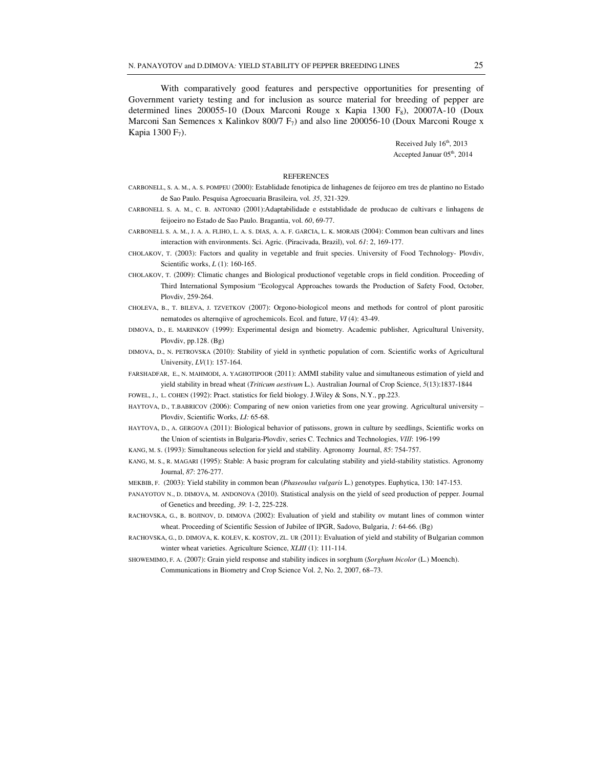With comparatively good features and perspective opportunities for presenting of Government variety testing and for inclusion as source material for breeding of pepper are determined lines 200055-10 (Doux Marconi Rouge x Kapia 1300 F<sub>8</sub>), 20007A-10 (Doux Marconi San Semences x Kalinkov 800/7  $F_7$ ) and also line 200056-10 (Doux Marconi Rouge x Kapia 1300  $F_7$ ).

> Received July  $16<sup>th</sup>$ , 2013 Accepted Januar 05<sup>th</sup>, 2014

# **REFERENCES**

- CARBONELL, S. A. M., A. S. POMPEU (2000): Establidade fenotipica de linhagenes de feijoreo em tres de plantino no Estado de Sao Paulo. Pesquisa Agroecuaria Brasileira, vol. *35*, 321-329.
- CARBONELL S. A. M., C. B. ANTONIO (2001):Adaptabilidade e eststablidade de producao de cultivars e linhagens de feijoeiro no Estado de Sao Paulo. Bragantia, vol. *60*, 69-77.
- CARBONELL S. A. M., J. A. A. FLIHO, L. A. S. DIAS, A. A. F. GARCIA, L. K. MORAIS (2004): Common bean cultivars and lines interaction with environments. Sci. Agric. (Piracivada, Brazil), vol. *61*: 2, 169-177.
- CHOLAKOV, T. (2003): Factors and quality in vegetable and fruit species. University of Food Technology- Plovdiv, Scientific works, *L* (1): 160-165.
- CHOLAKOV, T. (2009): Climatic changes and Biological productionof vegetable crops in field condition. Proceeding of Third International Symposium "Ecologycal Approaches towards the Production of Safety Food, October, Plovdiv, 259-264.
- CHOLEVA, B., T. BILEVA, J. TZVETKOV (2007): Orgono-biologicol meons and methods for control of plont parositic nematodes os alternqiive of agrochemicols. Ecol. and future, *VI* (4): 43-49.
- DIMOVA, D., E. MARINKOV (1999): Experimental design and biometry. Academic publisher, Agricultural University, Plovdiv, pp.128. (Bg)
- DIMOVA, D., N. PETROVSKA (2010): Stability of yield in synthetic population of corn. Scientific works of Agricultural University, *LV*(1): 157-164.
- FARSHADFAR, E., N. MAHMODI, A. YAGHOTIPOOR (2011): AMMI stability value and simultaneous estimation of yield and yield stability in bread wheat (*Triticum aestivum* L.). Australian Journal of Crop Science, *5*(13):1837-1844

FOWEL, J., L. COHEN (1992): Pract. statistics for field biology. J.Wiley & Sons, N.Y., pp.223.

- HAYTOVA, D., T.BABRICOV (2006): Comparing of new onion varieties from one year growing. Agricultural university Plovdiv, Scientific Works, *LI:* 65-68.
- HAYTOVA, D., A. GERGOVA (2011): Biological behavior of patissons, grown in culture by seedlings, Scientific works on the Union of scientists in Bulgaria-Plovdiv, series C. Technics and Technologies, *V*ІІІ: 196-199
- KANG, M. S. (1993): Simultaneous selection for yield and stability. Agronomy Journal, *85*: 754-757.
- KANG, M. S., R. MAGARI (1995): Stable: A basic program for calculating stability and yield-stability statistics. Agronomy Journal, *87*: 276-277.
- MEKBIB, F. (2003): Yield stability in common bean (*Phaseoulus vulgaris* L.) genotypes. Euphytica, 130: 147-153.
- PANAYOTOV N., D. DIMOVA, M. ANDONOVA (2010). Statistical analysis on the yield of seed production of pepper. Journal of Genetics and breeding, *39*: 1-2, 225-228.
- RACHOVSKA, G., B. BOJINOV, D. DIMOVA (2002): Evaluation of yield and stability ov mutant lines of common winter wheat. Proceeding of Scientific Session of Jubilee of IPGR, Sadovo, Bulgaria, *1*: 64-66. (Bg)
- RACHOVSKA, G., D. DIMOVA, K. KOLEV, K. KOSTOV, ZL. UR (2011): Evaluation of yield and stability of Bulgarian common winter wheat varieties. Agriculture Science, *XLIII* (1): 111-114.
- SHOWEMIMO, F. A. (2007): Grain yield response and stability indices in sorghum (*Sorghum bicolor* (L.) Moench). Communications in Biometry and Crop Science Vol. *2*, No. 2, 2007, 68–73.